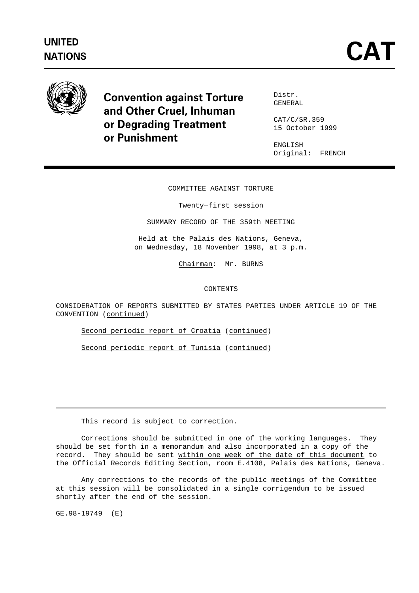# **UNITED**



Convention against Torture and Other Cruel, Inhuman or Degrading Treatment or Punishment

Distr. GENERAL

CAT/C/SR.359 15 October 1999

ENGLISH Original: FRENCH

# COMMITTEE AGAINST TORTURE MITTEE AGAINST TORT<br>Twenty-first session

SUMMARY RECORD OF THE 359th MEETING

Held at the Palais des Nations, Geneva, on Wednesday, 18 November 1998, at 3 p.m.

Chairman: Mr. BURNS

### CONTENTS

CONSIDERATION OF REPORTS SUBMITTED BY STATES PARTIES UNDER ARTICLE 19 OF THE CONVENTION (continued)

Second periodic report of Croatia (continued)

Second periodic report of Tunisia (continued)

This record is subject to correction.

Corrections should be submitted in one of the working languages. They should be set forth in a memorandum and also incorporated in a copy of the record. They should be sent within one week of the date of this document to the Official Records Editing Section, room E.4108, Palais des Nations, Geneva.

Any corrections to the records of the public meetings of the Committee at this session will be consolidated in a single corrigendum to be issued shortly after the end of the session.

GE.98-19749 (E)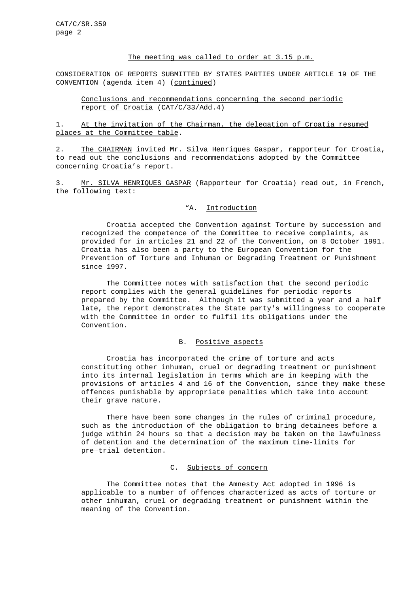# The meeting was called to order at 3.15 p.m.

CONSIDERATION OF REPORTS SUBMITTED BY STATES PARTIES UNDER ARTICLE 19 OF THE CONVENTION (agenda item 4) (continued)

Conclusions and recommendations concerning the second periodic report of Croatia (CAT/C/33/Add.4)

1. At the invitation of the Chairman, the delegation of Croatia resumed places at the Committee table.

2. The CHAIRMAN invited Mr. Silva Henriques Gaspar, rapporteur for Croatia, to read out the conclusions and recommendations adopted by the Committee concerning Croatia's report.

3. Mr. SILVA HENRIQUES GASPAR (Rapporteur for Croatia) read out, in French, the following text:

### "A. Introduction

Croatia accepted the Convention against Torture by succession and recognized the competence of the Committee to receive complaints, as provided for in articles 21 and 22 of the Convention, on 8 October 1991. Croatia has also been a party to the European Convention for the Prevention of Torture and Inhuman or Degrading Treatment or Punishment since 1997.

The Committee notes with satisfaction that the second periodic report complies with the general guidelines for periodic reports prepared by the Committee. Although it was submitted a year and a half late, the report demonstrates the State party's willingness to cooperate with the Committee in order to fulfil its obligations under the Convention.

#### B. Positive aspects

Croatia has incorporated the crime of torture and acts constituting other inhuman, cruel or degrading treatment or punishment into its internal legislation in terms which are in keeping with the provisions of articles 4 and 16 of the Convention, since they make these offences punishable by appropriate penalties which take into account their grave nature.

There have been some changes in the rules of criminal procedure, such as the introduction of the obligation to bring detainees before a judge within 24 hours so that a decision may be taken on the lawfulness of detention and the determination of the maximum time-limits for such as the Introduc<br>judge within 24 hour<br>of detention and the<br>pre-trial detention.

# C. Subjects of concern

The Committee notes that the Amnesty Act adopted in 1996 is applicable to a number of offences characterized as acts of torture or other inhuman, cruel or degrading treatment or punishment within the meaning of the Convention.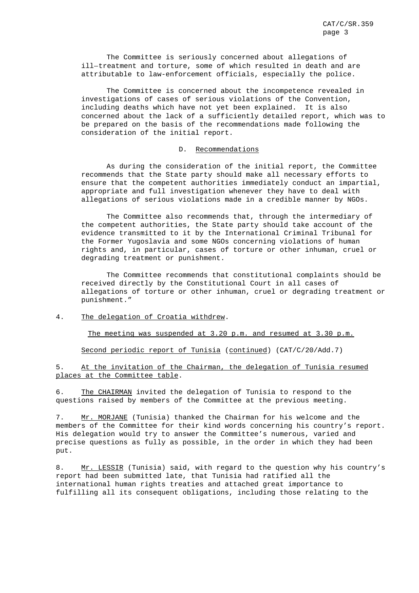The Committee is seriously concerned about allegations of ill-treatment and torture, some of which resulted in death and are attributable to law-enforcement officials, especially the police.

The Committee is concerned about the incompetence revealed in investigations of cases of serious violations of the Convention, including deaths which have not yet been explained. It is also concerned about the lack of a sufficiently detailed report, which was to be prepared on the basis of the recommendations made following the consideration of the initial report.

#### D. Recommendations

As during the consideration of the initial report, the Committee recommends that the State party should make all necessary efforts to ensure that the competent authorities immediately conduct an impartial, appropriate and full investigation whenever they have to deal with allegations of serious violations made in a credible manner by NGOs.

The Committee also recommends that, through the intermediary of the competent authorities, the State party should take account of the evidence transmitted to it by the International Criminal Tribunal for the Former Yugoslavia and some NGOs concerning violations of human rights and, in particular, cases of torture or other inhuman, cruel or degrading treatment or punishment.

The Committee recommends that constitutional complaints should be received directly by the Constitutional Court in all cases of allegations of torture or other inhuman, cruel or degrading treatment or punishment."

#### 4. The delegation of Croatia withdrew.

The meeting was suspended at 3.20 p.m. and resumed at 3.30 p.m.

Second periodic report of Tunisia (continued) (CAT/C/20/Add.7)

5. At the invitation of the Chairman, the delegation of Tunisia resumed places at the Committee table.

6. The CHAIRMAN invited the delegation of Tunisia to respond to the questions raised by members of the Committee at the previous meeting.

7. Mr. MORJANE (Tunisia) thanked the Chairman for his welcome and the members of the Committee for their kind words concerning his country's report. His delegation would try to answer the Committee's numerous, varied and precise questions as fully as possible, in the order in which they had been put.

8. Mr. LESSIR (Tunisia) said, with regard to the question why his country's report had been submitted late, that Tunisia had ratified all the international human rights treaties and attached great importance to fulfilling all its consequent obligations, including those relating to the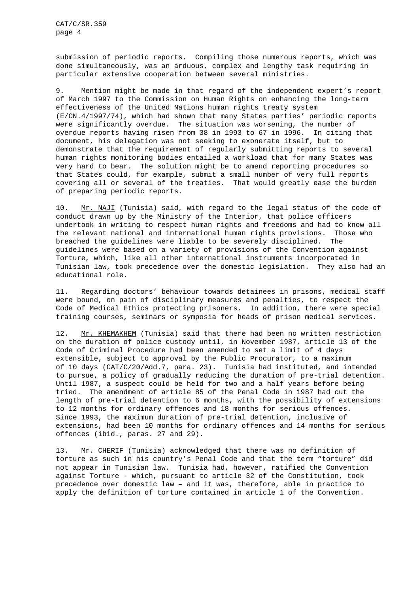CAT/C/SR.359 page 4

submission of periodic reports. Compiling those numerous reports, which was done simultaneously, was an arduous, complex and lengthy task requiring in particular extensive cooperation between several ministries.

9. Mention might be made in that regard of the independent expert's report of March 1997 to the Commission on Human Rights on enhancing the long-term effectiveness of the United Nations human rights treaty system (E/CN.4/1997/74), which had shown that many States parties' periodic reports were significantly overdue. The situation was worsening, the number of overdue reports having risen from 38 in 1993 to 67 in 1996. In citing that document, his delegation was not seeking to exonerate itself, but to demonstrate that the requirement of regularly submitting reports to several human rights monitoring bodies entailed a workload that for many States was very hard to bear. The solution might be to amend reporting procedures so that States could, for example, submit a small number of very full reports covering all or several of the treaties. That would greatly ease the burden of preparing periodic reports.

10. Mr. NAJI (Tunisia) said, with regard to the legal status of the code of conduct drawn up by the Ministry of the Interior, that police officers undertook in writing to respect human rights and freedoms and had to know all the relevant national and international human rights provisions. Those who breached the guidelines were liable to be severely disciplined. The guidelines were based on a variety of provisions of the Convention against Torture, which, like all other international instruments incorporated in Tunisian law, took precedence over the domestic legislation. They also had an educational role.

11. Regarding doctors' behaviour towards detainees in prisons, medical staff were bound, on pain of disciplinary measures and penalties, to respect the Code of Medical Ethics protecting prisoners. In addition, there were special training courses, seminars or symposia for heads of prison medical services.

12. Mr. KHEMAKHEM (Tunisia) said that there had been no written restriction on the duration of police custody until, in November 1987, article 13 of the Code of Criminal Procedure had been amended to set a limit of 4 days extensible, subject to approval by the Public Procurator, to a maximum of 10 days (CAT/C/20/Add.7, para. 23). Tunisia had instituted, and intended to pursue, a policy of gradually reducing the duration of pre-trial detention. Until 1987, a suspect could be held for two and a half years before being tried. The amendment of article 85 of the Penal Code in 1987 had cut the length of pre-trial detention to 6 months, with the possibility of extensions to 12 months for ordinary offences and 18 months for serious offences. Since 1993, the maximum duration of pre-trial detention, inclusive of extensions, had been 10 months for ordinary offences and 14 months for serious offences (ibid., paras. 27 and 29).

13. Mr. CHERIF (Tunisia) acknowledged that there was no definition of torture as such in his country's Penal Code and that the term "torture" did not appear in Tunisian law. Tunisia had, however, ratified the Convention against Torture - which, pursuant to article 32 of the Constitution, took precedence over domestic law – and it was, therefore, able in practice to apply the definition of torture contained in article 1 of the Convention.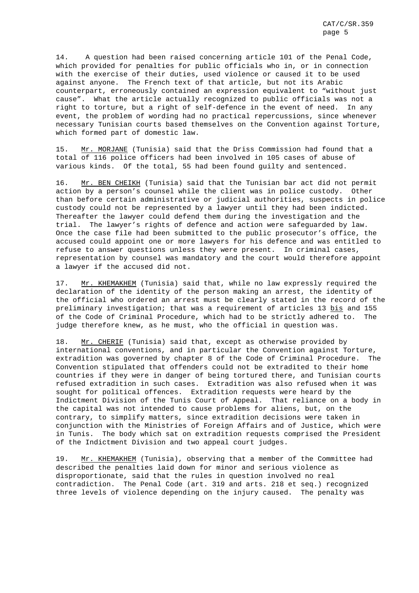14. A question had been raised concerning article 101 of the Penal Code, which provided for penalties for public officials who in, or in connection with the exercise of their duties, used violence or caused it to be used against anyone. The French text of that article, but not its Arabic counterpart, erroneously contained an expression equivalent to "without just cause". What the article actually recognized to public officials was not a right to torture, but a right of self-defence in the event of need. In any event, the problem of wording had no practical repercussions, since whenever necessary Tunisian courts based themselves on the Convention against Torture, which formed part of domestic law.

15. Mr. MORJANE (Tunisia) said that the Driss Commission had found that a total of 116 police officers had been involved in 105 cases of abuse of various kinds. Of the total, 55 had been found guilty and sentenced.

16. Mr. BEN CHEIKH (Tunisia) said that the Tunisian bar act did not permit action by a person's counsel while the client was in police custody. Other than before certain administrative or judicial authorities, suspects in police custody could not be represented by a lawyer until they had been indicted. Thereafter the lawyer could defend them during the investigation and the trial. The lawyer's rights of defence and action were safeguarded by law. Once the case file had been submitted to the public prosecutor's office, the accused could appoint one or more lawyers for his defence and was entitled to refuse to answer questions unless they were present. In criminal cases, representation by counsel was mandatory and the court would therefore appoint a lawyer if the accused did not.

17. Mr. KHEMAKHEM (Tunisia) said that, while no law expressly required the declaration of the identity of the person making an arrest, the identity of the official who ordered an arrest must be clearly stated in the record of the preliminary investigation; that was a requirement of articles 13 bis and 155 of the Code of Criminal Procedure, which had to be strictly adhered to. The judge therefore knew, as he must, who the official in question was.

18. Mr. CHERIF (Tunisia) said that, except as otherwise provided by international conventions, and in particular the Convention against Torture, extradition was governed by chapter 8 of the Code of Criminal Procedure. The Convention stipulated that offenders could not be extradited to their home countries if they were in danger of being tortured there, and Tunisian courts refused extradition in such cases. Extradition was also refused when it was sought for political offences. Extradition requests were heard by the Indictment Division of the Tunis Court of Appeal. That reliance on a body in the capital was not intended to cause problems for aliens, but, on the contrary, to simplify matters, since extradition decisions were taken in conjunction with the Ministries of Foreign Affairs and of Justice, which were in Tunis. The body which sat on extradition requests comprised the President of the Indictment Division and two appeal court judges.

19. Mr. KHEMAKHEM (Tunisia), observing that a member of the Committee had described the penalties laid down for minor and serious violence as disproportionate, said that the rules in question involved no real contradiction. The Penal Code (art. 319 and arts. 218 et seq.) recognized three levels of violence depending on the injury caused. The penalty was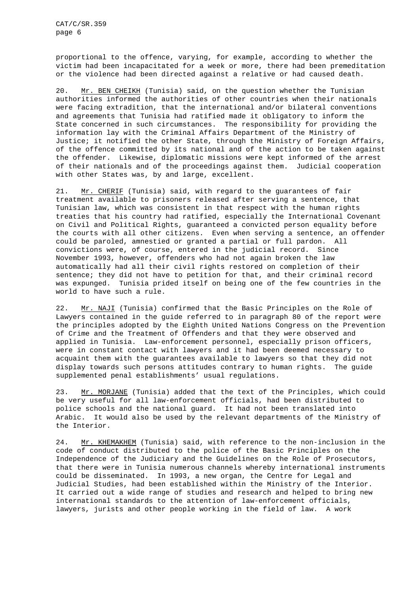proportional to the offence, varying, for example, according to whether the victim had been incapacitated for a week or more, there had been premeditation or the violence had been directed against a relative or had caused death.

20. Mr. BEN CHEIKH (Tunisia) said, on the question whether the Tunisian authorities informed the authorities of other countries when their nationals were facing extradition, that the international and/or bilateral conventions and agreements that Tunisia had ratified made it obligatory to inform the State concerned in such circumstances. The responsibility for providing the information lay with the Criminal Affairs Department of the Ministry of Justice; it notified the other State, through the Ministry of Foreign Affairs, of the offence committed by its national and of the action to be taken against the offender. Likewise, diplomatic missions were kept informed of the arrest of their nationals and of the proceedings against them. Judicial cooperation with other States was, by and large, excellent.

21. Mr. CHERIF (Tunisia) said, with regard to the guarantees of fair treatment available to prisoners released after serving a sentence, that Tunisian law, which was consistent in that respect with the human rights treaties that his country had ratified, especially the International Covenant on Civil and Political Rights, guaranteed a convicted person equality before the courts with all other citizens. Even when serving a sentence, an offender could be paroled, amnestied or granted a partial or full pardon. All convictions were, of course, entered in the judicial record. Since November 1993, however, offenders who had not again broken the law automatically had all their civil rights restored on completion of their sentence; they did not have to petition for that, and their criminal record was expunged. Tunisia prided itself on being one of the few countries in the world to have such a rule.

22. Mr. NAJI (Tunisia) confirmed that the Basic Principles on the Role of Lawyers contained in the guide referred to in paragraph 80 of the report were the principles adopted by the Eighth United Nations Congress on the Prevention of Crime and the Treatment of Offenders and that they were observed and applied in Tunisia. Law-enforcement personnel, especially prison officers, were in constant contact with lawyers and it had been deemed necessary to acquaint them with the guarantees available to lawyers so that they did not display towards such persons attitudes contrary to human rights. The guide supplemented penal establishments' usual regulations.

23. Mr. MORJANE (Tunisia) added that the text of the Principles, which could be very useful for all law-enforcement officials, had been distributed to police schools and the national guard. It had not been translated into Arabic. It would also be used by the relevant departments of the Ministry of the Interior.

24. Mr. KHEMAKHEM (Tunisia) said, with reference to the non-inclusion in the code of conduct distributed to the police of the Basic Principles on the Independence of the Judiciary and the Guidelines on the Role of Prosecutors, that there were in Tunisia numerous channels whereby international instruments could be disseminated. In 1993, a new organ, the Centre for Legal and Judicial Studies, had been established within the Ministry of the Interior. It carried out a wide range of studies and research and helped to bring new international standards to the attention of law-enforcement officials, lawyers, jurists and other people working in the field of law. A work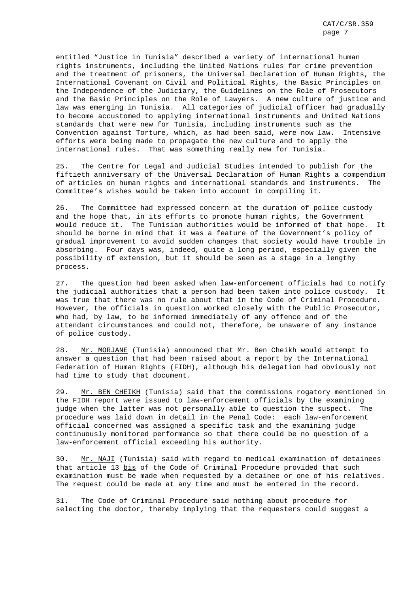entitled "Justice in Tunisia" described a variety of international human rights instruments, including the United Nations rules for crime prevention and the treatment of prisoners, the Universal Declaration of Human Rights, the International Covenant on Civil and Political Rights, the Basic Principles on the Independence of the Judiciary, the Guidelines on the Role of Prosecutors and the Basic Principles on the Role of Lawyers. A new culture of justice and law was emerging in Tunisia. All categories of judicial officer had gradually to become accustomed to applying international instruments and United Nations standards that were new for Tunisia, including instruments such as the Convention against Torture, which, as had been said, were now law. Intensive efforts were being made to propagate the new culture and to apply the international rules. That was something really new for Tunisia.

25. The Centre for Legal and Judicial Studies intended to publish for the fiftieth anniversary of the Universal Declaration of Human Rights a compendium of articles on human rights and international standards and instruments. The Committee's wishes would be taken into account in compiling it.

26. The Committee had expressed concern at the duration of police custody and the hope that, in its efforts to promote human rights, the Government would reduce it. The Tunisian authorities would be informed of that hope. It should be borne in mind that it was a feature of the Government's policy of gradual improvement to avoid sudden changes that society would have trouble in absorbing. Four days was, indeed, quite a long period, especially given the possibility of extension, but it should be seen as a stage in a lengthy process.

27. The question had been asked when law-enforcement officials had to notify the judicial authorities that a person had been taken into police custody. It was true that there was no rule about that in the Code of Criminal Procedure. However, the officials in question worked closely with the Public Prosecutor, who had, by law, to be informed immediately of any offence and of the attendant circumstances and could not, therefore, be unaware of any instance of police custody.

28. Mr. MORJANE (Tunisia) announced that Mr. Ben Cheikh would attempt to answer a question that had been raised about a report by the International Federation of Human Rights (FIDH), although his delegation had obviously not had time to study that document.

29. Mr. BEN CHEIKH (Tunisia) said that the commissions rogatory mentioned in the FIDH report were issued to law-enforcement officials by the examining judge when the latter was not personally able to question the suspect. The procedure was laid down in detail in the Penal Code: each law-enforcement official concerned was assigned a specific task and the examining judge continuously monitored performance so that there could be no question of a law-enforcement official exceeding his authority.

30. Mr. NAJI (Tunisia) said with regard to medical examination of detainees that article 13 bis of the Code of Criminal Procedure provided that such examination must be made when requested by a detainee or one of his relatives. The request could be made at any time and must be entered in the record.

31. The Code of Criminal Procedure said nothing about procedure for selecting the doctor, thereby implying that the requesters could suggest a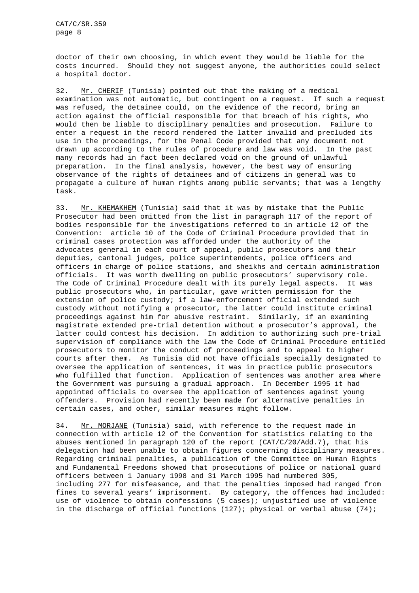doctor of their own choosing, in which event they would be liable for the costs incurred. Should they not suggest anyone, the authorities could select a hospital doctor.

32. Mr. CHERIF (Tunisia) pointed out that the making of a medical examination was not automatic, but contingent on a request. If such a request was refused, the detainee could, on the evidence of the record, bring an action against the official responsible for that breach of his rights, who would then be liable to disciplinary penalties and prosecution. Failure to enter a request in the record rendered the latter invalid and precluded its use in the proceedings, for the Penal Code provided that any document not drawn up according to the rules of procedure and law was void. In the past many records had in fact been declared void on the ground of unlawful preparation. In the final analysis, however, the best way of ensuring observance of the rights of detainees and of citizens in general was to propagate a culture of human rights among public servants; that was a lengthy task.

33. Mr. KHEMAKHEM (Tunisia) said that it was by mistake that the Public Prosecutor had been omitted from the list in paragraph 117 of the report of bodies responsible for the investigations referred to in article 12 of the Convention: article 10 of the Code of Criminal Procedure provided that in criminal cases protection was afforded under the authority of the boaies responsible for the investigations referred to in article 12 of<br>Convention: article 10 of the Code of Criminal Procedure provided that<br>criminal cases protection was afforded under the authority of the<br>advocates-gene deputies, cantonal judges, police superintendents, police officers and official cases protection was allorded under the authority of the<br>advocates-general in each court of appeal, public prosecutors and their<br>deputies, cantonal judges, police superintendents, police officers and<br>officers-in-c officials. It was worth dwelling on public prosecutors' supervisory role. The Code of Criminal Procedure dealt with its purely legal aspects. It was public prosecutors who, in particular, gave written permission for the extension of police custody; if a law-enforcement official extended such custody without notifying a prosecutor, the latter could institute criminal proceedings against him for abusive restraint. Similarly, if an examining magistrate extended pre-trial detention without a prosecutor's approval, the latter could contest his decision. In addition to authorizing such pre-trial supervision of compliance with the law the Code of Criminal Procedure entitled prosecutors to monitor the conduct of proceedings and to appeal to higher courts after them. As Tunisia did not have officials specially designated to oversee the application of sentences, it was in practice public prosecutors who fulfilled that function. Application of sentences was another area where the Government was pursuing a gradual approach. In December 1995 it had appointed officials to oversee the application of sentences against young offenders. Provision had recently been made for alternative penalties in certain cases, and other, similar measures might follow.

34. Mr. MORJANE (Tunisia) said, with reference to the request made in connection with article 12 of the Convention for statistics relating to the abuses mentioned in paragraph 120 of the report (CAT/C/20/Add.7), that his delegation had been unable to obtain figures concerning disciplinary measures. Regarding criminal penalties, a publication of the Committee on Human Rights and Fundamental Freedoms showed that prosecutions of police or national guard officers between 1 January 1998 and 31 March 1995 had numbered 305, including 277 for misfeasance, and that the penalties imposed had ranged from fines to several years' imprisonment. By category, the offences had included: use of violence to obtain confessions (5 cases); unjustified use of violence in the discharge of official functions  $(127)$ ; physical or verbal abuse  $(74)$ ;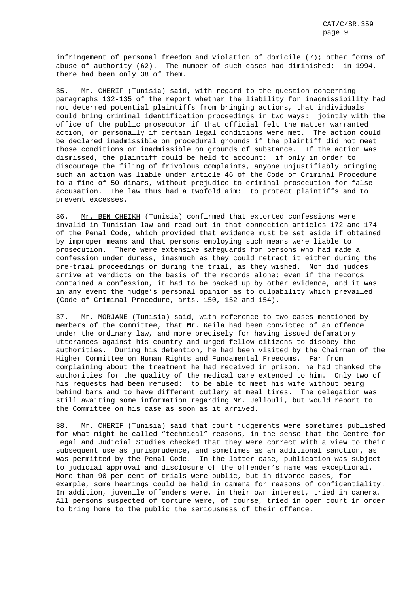infringement of personal freedom and violation of domicile (7); other forms of abuse of authority (62). The number of such cases had diminished: in 1994, there had been only 38 of them.

35. Mr. CHERIF (Tunisia) said, with regard to the question concerning paragraphs 132-135 of the report whether the liability for inadmissibility had not deterred potential plaintiffs from bringing actions, that individuals could bring criminal identification proceedings in two ways: jointly with the office of the public prosecutor if that official felt the matter warranted action, or personally if certain legal conditions were met. The action could be declared inadmissible on procedural grounds if the plaintiff did not meet those conditions or inadmissible on grounds of substance. If the action was dismissed, the plaintiff could be held to account: if only in order to discourage the filing of frivolous complaints, anyone unjustifiably bringing such an action was liable under article 46 of the Code of Criminal Procedure to a fine of 50 dinars, without prejudice to criminal prosecution for false accusation. The law thus had a twofold aim: to protect plaintiffs and to prevent excesses.

36. Mr. BEN CHEIKH (Tunisia) confirmed that extorted confessions were invalid in Tunisian law and read out in that connection articles 172 and 174 of the Penal Code, which provided that evidence must be set aside if obtained by improper means and that persons employing such means were liable to prosecution. There were extensive safeguards for persons who had made a confession under duress, inasmuch as they could retract it either during the pre-trial proceedings or during the trial, as they wished. Nor did judges arrive at verdicts on the basis of the records alone; even if the records contained a confession, it had to be backed up by other evidence, and it was in any event the judge's personal opinion as to culpability which prevailed (Code of Criminal Procedure, arts. 150, 152 and 154).

37. Mr. MORJANE (Tunisia) said, with reference to two cases mentioned by members of the Committee, that Mr. Keila had been convicted of an offence under the ordinary law, and more precisely for having issued defamatory utterances against his country and urged fellow citizens to disobey the authorities. During his detention, he had been visited by the Chairman of the Higher Committee on Human Rights and Fundamental Freedoms. Far from complaining about the treatment he had received in prison, he had thanked the authorities for the quality of the medical care extended to him. Only two of his requests had been refused: to be able to meet his wife without being behind bars and to have different cutlery at meal times. The delegation was still awaiting some information regarding Mr. Jellouli, but would report to the Committee on his case as soon as it arrived.

38. Mr. CHERIF (Tunisia) said that court judgements were sometimes published for what might be called "technical" reasons, in the sense that the Centre for Legal and Judicial Studies checked that they were correct with a view to their subsequent use as jurisprudence, and sometimes as an additional sanction, as was permitted by the Penal Code. In the latter case, publication was subject to judicial approval and disclosure of the offender's name was exceptional. More than 90 per cent of trials were public, but in divorce cases, for example, some hearings could be held in camera for reasons of confidentiality. In addition, juvenile offenders were, in their own interest, tried in camera. All persons suspected of torture were, of course, tried in open court in order to bring home to the public the seriousness of their offence.